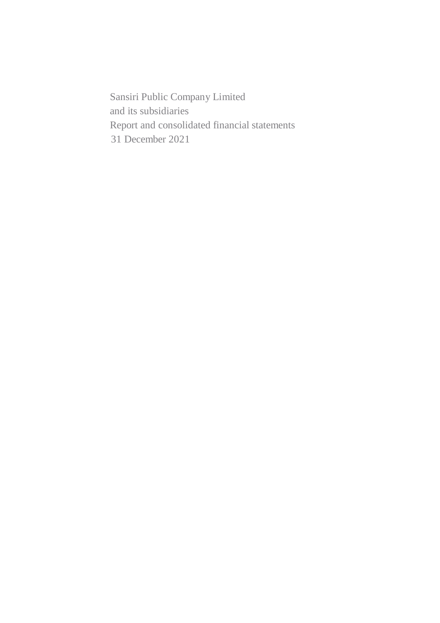Sansiri Public Company Limited and its subsidiaries Report and consolidated financial statements 31 December 2021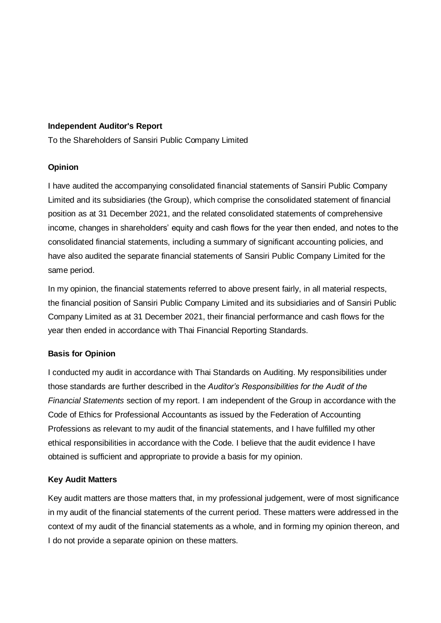## **Independent Auditor's Report**

To the Shareholders of Sansiri Public Company Limited

### **Opinion**

I have audited the accompanying consolidated financial statements of Sansiri Public Company Limited and its subsidiaries (the Group), which comprise the consolidated statement of financial position as at 31 December 2021, and the related consolidated statements of comprehensive income, changes in shareholders' equity and cash flows for the year then ended, and notes to the consolidated financial statements, including a summary of significant accounting policies, and have also audited the separate financial statements of Sansiri Public Company Limited for the same period.

In my opinion, the financial statements referred to above present fairly, in all material respects, the financial position of Sansiri Public Company Limited and its subsidiaries and of Sansiri Public Company Limited as at 31 December 2021, their financial performance and cash flows for the year then ended in accordance with Thai Financial Reporting Standards.

## **Basis for Opinion**

I conducted my audit in accordance with Thai Standards on Auditing. My responsibilities under those standards are further described in the *Auditor's Responsibilities for the Audit of the Financial Statements* section of my report. I am independent of the Group in accordance with the Code of Ethics for Professional Accountants as issued by the Federation of Accounting Professions as relevant to my audit of the financial statements, and I have fulfilled my other ethical responsibilities in accordance with the Code. I believe that the audit evidence I have obtained is sufficient and appropriate to provide a basis for my opinion.

## **Key Audit Matters**

Key audit matters are those matters that, in my professional judgement, were of most significance in my audit of the financial statements of the current period. These matters were addressed in the context of my audit of the financial statements as a whole, and in forming my opinion thereon, and I do not provide a separate opinion on these matters.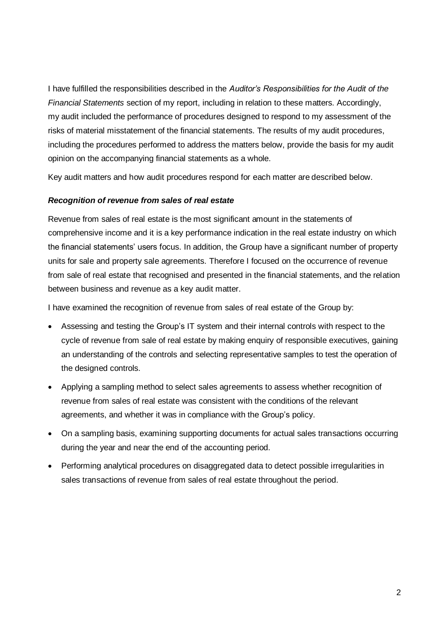I have fulfilled the responsibilities described in the *Auditor's Responsibilities for the Audit of the Financial Statements* section of my report, including in relation to these matters. Accordingly, my audit included the performance of procedures designed to respond to my assessment of the risks of material misstatement of the financial statements. The results of my audit procedures, including the procedures performed to address the matters below, provide the basis for my audit opinion on the accompanying financial statements as a whole.

Key audit matters and how audit procedures respond for each matter are described below.

## *Recognition of revenue from sales of real estate*

Revenue from sales of real estate is the most significant amount in the statements of comprehensive income and it is a key performance indication in the real estate industry on which the financial statements' users focus. In addition, the Group have a significant number of property units for sale and property sale agreements. Therefore I focused on the occurrence of revenue from sale of real estate that recognised and presented in the financial statements, and the relation between business and revenue as a key audit matter.

I have examined the recognition of revenue from sales of real estate of the Group by:

- Assessing and testing the Group's IT system and their internal controls with respect to the cycle of revenue from sale of real estate by making enquiry of responsible executives, gaining an understanding of the controls and selecting representative samples to test the operation of the designed controls.
- Applying a sampling method to select sales agreements to assess whether recognition of revenue from sales of real estate was consistent with the conditions of the relevant agreements, and whether it was in compliance with the Group's policy.
- On a sampling basis, examining supporting documents for actual sales transactions occurring during the year and near the end of the accounting period.
- Performing analytical procedures on disaggregated data to detect possible irregularities in sales transactions of revenue from sales of real estate throughout the period.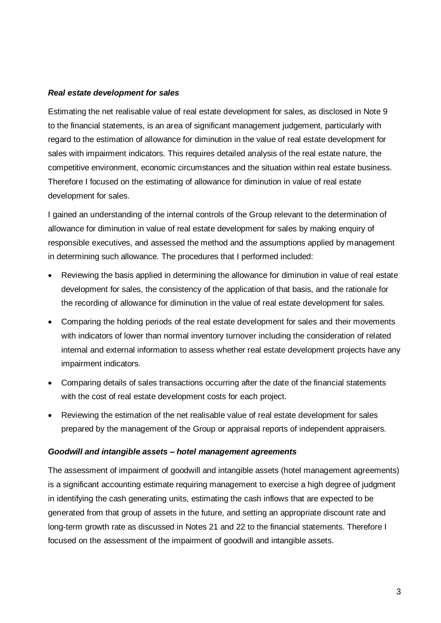#### *Real estate development for sales*

Estimating the net realisable value of real estate development for sales, as disclosed in Note 9 to the financial statements, is an area of significant management judgement, particularly with regard to the estimation of allowance for diminution in the value of real estate development for sales with impairment indicators. This requires detailed analysis of the real estate nature, the competitive environment, economic circumstances and the situation within real estate business. Therefore I focused on the estimating of allowance for diminution in value of real estate development for sales.

I gained an understanding of the internal controls of the Group relevant to the determination of allowance for diminution in value of real estate development for sales by making enquiry of responsible executives, and assessed the method and the assumptions applied by management in determining such allowance. The procedures that I performed included:

- Reviewing the basis applied in determining the allowance for diminution in value of real estate development for sales, the consistency of the application of that basis, and the rationale for the recording of allowance for diminution in the value of real estate development for sales.
- Comparing the holding periods of the real estate development for sales and their movements with indicators of lower than normal inventory turnover including the consideration of related internal and external information to assess whether real estate development projects have any impairment indicators.
- Comparing details of sales transactions occurring after the date of the financial statements with the cost of real estate development costs for each project.
- Reviewing the estimation of the net realisable value of real estate development for sales prepared by the management of the Group or appraisal reports of independent appraisers.

#### *Goodwill and intangible assets – hotel management agreements*

The assessment of impairment of goodwill and intangible assets (hotel management agreements) is a significant accounting estimate requiring management to exercise a high degree of judgment in identifying the cash generating units, estimating the cash inflows that are expected to be generated from that group of assets in the future, and setting an appropriate discount rate and long-term growth rate as discussed in Notes 21 and 22 to the financial statements. Therefore I focused on the assessment of the impairment of goodwill and intangible assets.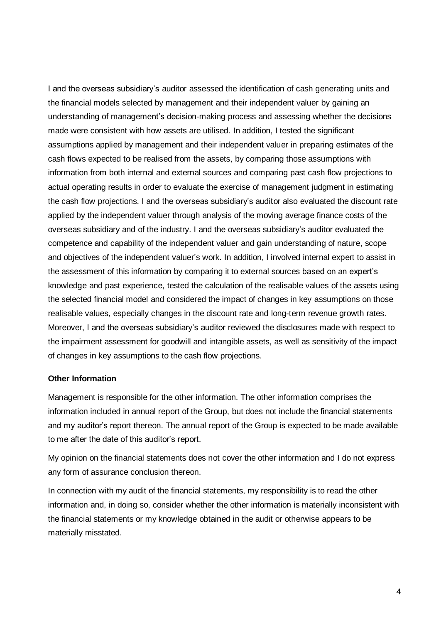I and the overseas subsidiary's auditor assessed the identification of cash generating units and the financial models selected by management and their independent valuer by gaining an understanding of management's decision-making process and assessing whether the decisions made were consistent with how assets are utilised. In addition, I tested the significant assumptions applied by management and their independent valuer in preparing estimates of the cash flows expected to be realised from the assets, by comparing those assumptions with information from both internal and external sources and comparing past cash flow projections to actual operating results in order to evaluate the exercise of management judgment in estimating the cash flow projections. I and the overseas subsidiary's auditor also evaluated the discount rate applied by the independent valuer through analysis of the moving average finance costs of the overseas subsidiary and of the industry. I and the overseas subsidiary's auditor evaluated the competence and capability of the independent valuer and gain understanding of nature, scope and objectives of the independent valuer's work. In addition, I involved internal expert to assist in the assessment of this information by comparing it to external sources based on an expert's knowledge and past experience, tested the calculation of the realisable values of the assets using the selected financial model and considered the impact of changes in key assumptions on those realisable values, especially changes in the discount rate and long-term revenue growth rates. Moreover, I and the overseas subsidiary's auditor reviewed the disclosures made with respect to the impairment assessment for goodwill and intangible assets, as well as sensitivity of the impact of changes in key assumptions to the cash flow projections.

#### **Other Information**

Management is responsible for the other information. The other information comprises the information included in annual report of the Group, but does not include the financial statements and my auditor's report thereon. The annual report of the Group is expected to be made available to me after the date of this auditor's report.

My opinion on the financial statements does not cover the other information and I do not express any form of assurance conclusion thereon.

In connection with my audit of the financial statements, my responsibility is to read the other information and, in doing so, consider whether the other information is materially inconsistent with the financial statements or my knowledge obtained in the audit or otherwise appears to be materially misstated.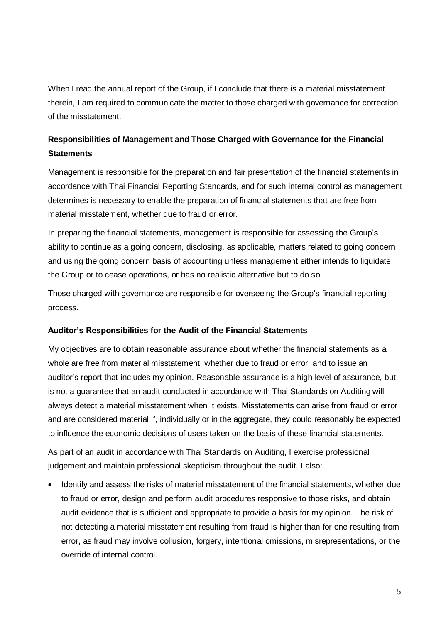When I read the annual report of the Group, if I conclude that there is a material misstatement therein, I am required to communicate the matter to those charged with governance for correction of the misstatement.

# **Responsibilities of Management and Those Charged with Governance for the Financial Statements**

Management is responsible for the preparation and fair presentation of the financial statements in accordance with Thai Financial Reporting Standards, and for such internal control as management determines is necessary to enable the preparation of financial statements that are free from material misstatement, whether due to fraud or error.

In preparing the financial statements, management is responsible for assessing the Group's ability to continue as a going concern, disclosing, as applicable, matters related to going concern and using the going concern basis of accounting unless management either intends to liquidate the Group or to cease operations, or has no realistic alternative but to do so.

Those charged with governance are responsible for overseeing the Group's financial reporting process.

#### **Auditor's Responsibilities for the Audit of the Financial Statements**

My objectives are to obtain reasonable assurance about whether the financial statements as a whole are free from material misstatement, whether due to fraud or error, and to issue an auditor's report that includes my opinion. Reasonable assurance is a high level of assurance, but is not a guarantee that an audit conducted in accordance with Thai Standards on Auditing will always detect a material misstatement when it exists. Misstatements can arise from fraud or error and are considered material if, individually or in the aggregate, they could reasonably be expected to influence the economic decisions of users taken on the basis of these financial statements.

As part of an audit in accordance with Thai Standards on Auditing, I exercise professional judgement and maintain professional skepticism throughout the audit. I also:

 Identify and assess the risks of material misstatement of the financial statements, whether due to fraud or error, design and perform audit procedures responsive to those risks, and obtain audit evidence that is sufficient and appropriate to provide a basis for my opinion. The risk of not detecting a material misstatement resulting from fraud is higher than for one resulting from error, as fraud may involve collusion, forgery, intentional omissions, misrepresentations, or the override of internal control.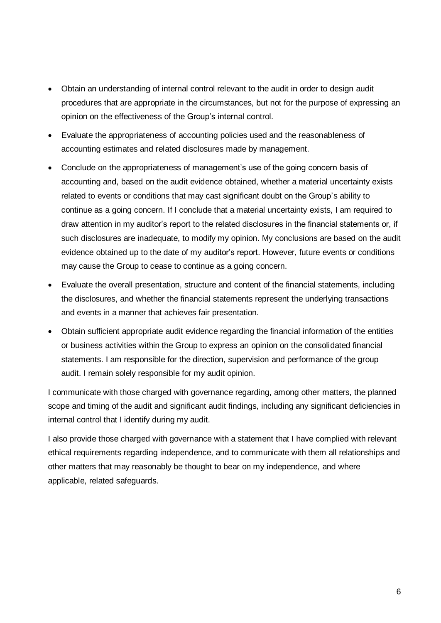- Obtain an understanding of internal control relevant to the audit in order to design audit procedures that are appropriate in the circumstances, but not for the purpose of expressing an opinion on the effectiveness of the Group's internal control.
- Evaluate the appropriateness of accounting policies used and the reasonableness of accounting estimates and related disclosures made by management.
- Conclude on the appropriateness of management's use of the going concern basis of accounting and, based on the audit evidence obtained, whether a material uncertainty exists related to events or conditions that may cast significant doubt on the Group's ability to continue as a going concern. If I conclude that a material uncertainty exists, I am required to draw attention in my auditor's report to the related disclosures in the financial statements or, if such disclosures are inadequate, to modify my opinion. My conclusions are based on the audit evidence obtained up to the date of my auditor's report. However, future events or conditions may cause the Group to cease to continue as a going concern.
- Evaluate the overall presentation, structure and content of the financial statements, including the disclosures, and whether the financial statements represent the underlying transactions and events in a manner that achieves fair presentation.
- Obtain sufficient appropriate audit evidence regarding the financial information of the entities or business activities within the Group to express an opinion on the consolidated financial statements. I am responsible for the direction, supervision and performance of the group audit. I remain solely responsible for my audit opinion.

I communicate with those charged with governance regarding, among other matters, the planned scope and timing of the audit and significant audit findings, including any significant deficiencies in internal control that I identify during my audit.

I also provide those charged with governance with a statement that I have complied with relevant ethical requirements regarding independence, and to communicate with them all relationships and other matters that may reasonably be thought to bear on my independence, and where applicable, related safeguards.